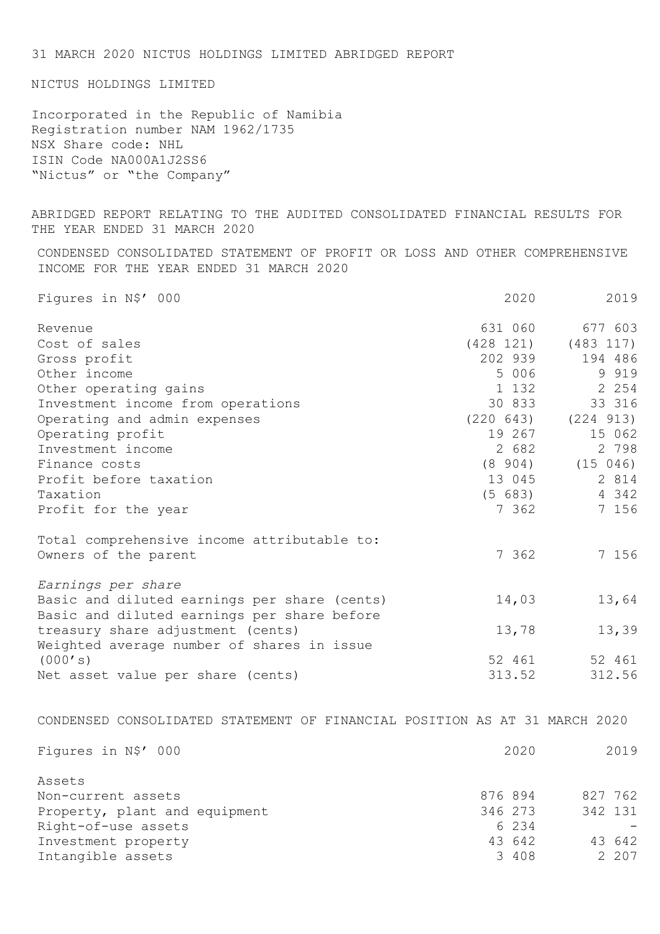31 MARCH 2020 NICTUS HOLDINGS LIMITED ABRIDGED REPORT NICTUS HOLDINGS LIMITED Incorporated in the Republic of Namibia Registration number NAM 1962/1735 NSX Share code: NHL ISIN Code NA000A1J2SS6 "Nictus" or "the Company" ABRIDGED REPORT RELATING TO THE AUDITED CONSOLIDATED FINANCIAL RESULTS FOR THE YEAR ENDED 31 MARCH 2020 CONDENSED CONSOLIDATED STATEMENT OF PROFIT OR LOSS AND OTHER COMPREHENSIVE INCOME FOR THE YEAR ENDED 31 MARCH 2020 Figures in N\$' 000 2020 2019 Revenue 631 060 677 603 Cost of sales (428 121) (483 117) Gross profit<br>
202 939 194 486<br>
5 006 9 919<br>
1 132 2 254 Other income 3 919 Other operating gains<br>
Investment income from operations<br>
Operating and admin expenses<br>
(220 643) (224 913) Investment income from operations Operating and admin expenses (220 643) (224 913)<br>
Operating profit (220 643) (224 913) Operating profit 19 267 15 062 Investment income 2 682 2 798 Finance costs (8 904) (15 046) Profit before taxation 13 045 2 814 Taxation (5 683) 4 342 Profit for the year 7 362 7 156 Total comprehensive income attributable to: Owners of the parent 7 362 7 156 *Earnings per share* Basic and diluted earnings per share (cents) 14,03 13,64 Basic and diluted earnings per share before treasury share adjustment (cents) 13,78 13,39 Weighted average number of shares in issue (000's) 52 461 52 461 Net asset value per share (cents) 313.52 312.56 CONDENSED CONSOLIDATED STATEMENT OF FINANCIAL POSITION AS AT 31 MARCH 2020 Figures in N\$' 000 2019 Assets Non-current assets<br>
Property, plant and equipment<br>  $\begin{array}{cccc}\n\text{876} & 894 & 827 & 762 \\
\text{Property, plant and equipment} & 346 & 273 & 342 & 131\n\end{array}$ Property, plant and equipment Right-of-use assets 6 234 Investment property 10 and 13 642 43 642 Intangible assets 207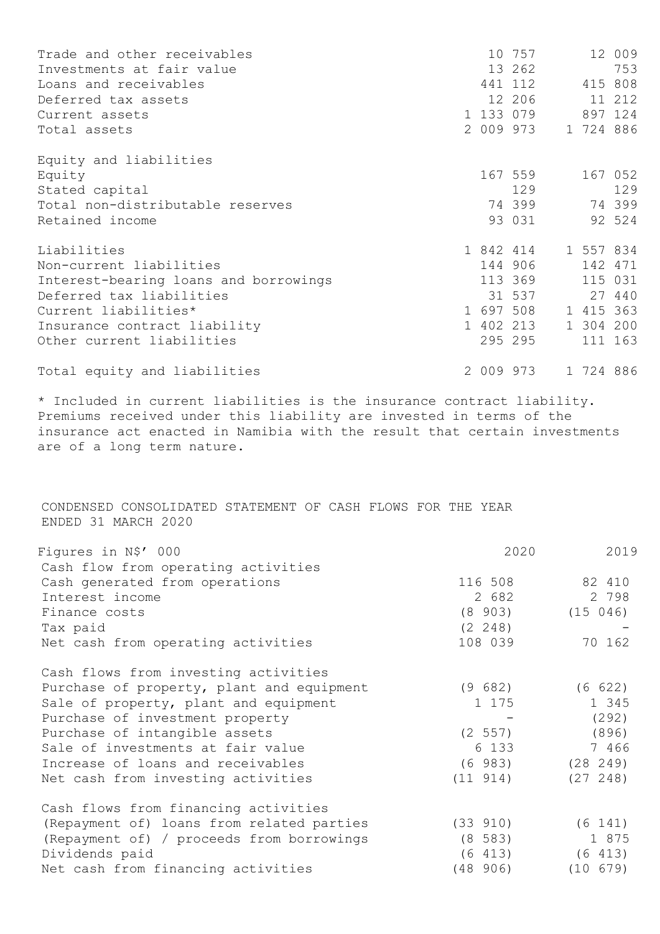| Trade and other receivables           |           | 10 757              |           | 12 009  |
|---------------------------------------|-----------|---------------------|-----------|---------|
| Investments at fair value             |           | 13 262              |           | 753     |
| Loans and receivables                 |           | 441 112             |           | 415 808 |
| Deferred tax assets                   |           | 12 206              |           | 11 212  |
| Current assets                        |           | 1 133 079           |           | 897 124 |
| Total assets                          |           | 2 009 973           | 1 724 886 |         |
| Equity and liabilities                |           |                     |           |         |
| Equity                                |           | 167 559             |           | 167 052 |
| Stated capital                        |           | 129                 |           | 129     |
| Total non-distributable reserves      |           | 74 399              | 74 399    |         |
| Retained income                       |           | 93 031              |           | 92 524  |
| Liabilities                           |           | 1 842 414 1 557 834 |           |         |
| Non-current liabilities               |           | 144 906             |           | 142 471 |
| Interest-bearing loans and borrowings |           | 113 369             |           | 115 031 |
| Deferred tax liabilities              |           | 31 537              |           | 27 440  |
| Current liabilities*                  |           | 1 697 508           | 1 415 363 |         |
| Insurance contract liability          |           | 1 402 213           | 1 304 200 |         |
| Other current liabilities             |           | 295 295             |           | 111 163 |
| Total equity and liabilities          | 2 009 973 |                     | 1 724 886 |         |

\* Included in current liabilities is the insurance contract liability. Premiums received under this liability are invested in terms of the insurance act enacted in Namibia with the result that certain investments are of a long term nature.

CONDENSED CONSOLIDATED STATEMENT OF CASH FLOWS FOR THE YEAR ENDED 31 MARCH 2020

| Figures in N\$' 000                       | 2020        | 2019     |
|-------------------------------------------|-------------|----------|
| Cash flow from operating activities       |             |          |
| Cash generated from operations            | 116 508     | 82 410   |
| Interest income                           | 2 682       | 2 7 9 8  |
| Finance costs                             | $(8\ 903)$  | (15 046) |
| Tax paid                                  | $(2 \t248)$ |          |
| Net cash from operating activities        | 108 039     | 70 162   |
| Cash flows from investing activities      |             |          |
| Purchase of property, plant and equipment | (9682)      | (6 622)  |
| Sale of property, plant and equipment     | 1 175       | 1 345    |
| Purchase of investment property           |             | (292)    |
| Purchase of intangible assets             | (2 557)     | (896)    |
| Sale of investments at fair value         | 6 133       | 7 466    |
| Increase of loans and receivables         | (6983)      | (28 249) |
| Net cash from investing activities        | (11 914)    | (27 248) |
| Cash flows from financing activities      |             |          |
| (Repayment of) loans from related parties | (33 910)    | (6 141)  |
| (Repayment of) / proceeds from borrowings | $(8\;583)$  | 1 875    |
| Dividends paid                            | (6 413)     | (6 413)  |
| Net cash from financing activities        | (48906)     | (10 679) |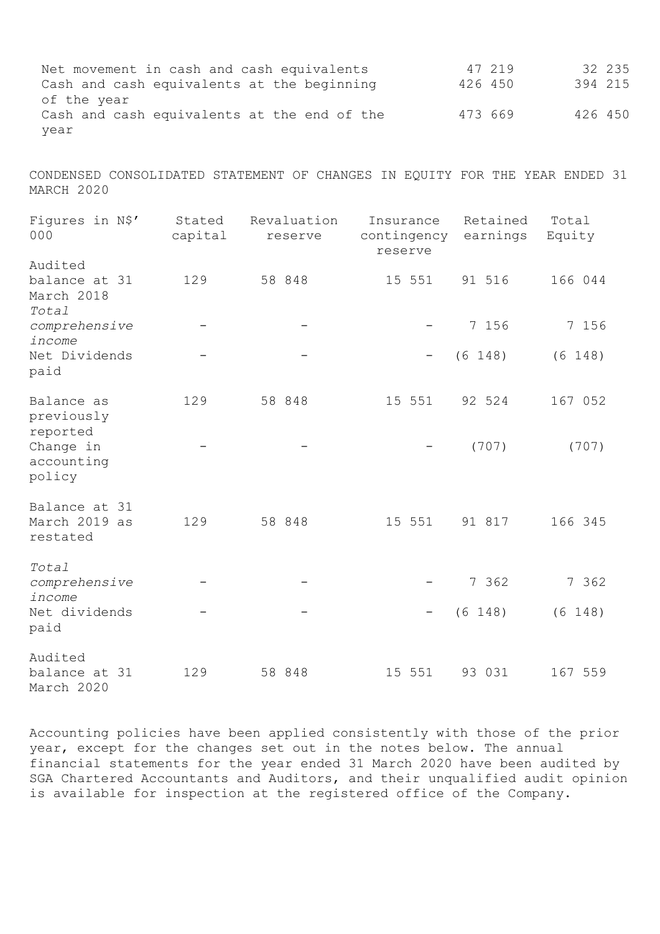Net movement in cash and cash equivalents 47 219 32 235 Cash and cash equivalents at the beginning of the year 47 219 32 235<br>426 450 394 215 Cash and cash equivalents at the end of the  $473669$  426 450 year

CONDENSED CONSOLIDATED STATEMENT OF CHANGES IN EQUITY FOR THE YEAR ENDED 31 MARCH 2020

| Figures in N\$'<br>000                          | Stated<br>capital | Revaluation<br>reserve | Insurance<br>contingency<br>reserve | Retained<br>earnings | Total<br>Equity |
|-------------------------------------------------|-------------------|------------------------|-------------------------------------|----------------------|-----------------|
| Audited<br>balance at 31<br>March 2018<br>Total | 129               | 58 848                 | 15 551                              | 91 516               | 166 044         |
| comprehensive<br>income                         |                   |                        |                                     | 7 156                | 7 156           |
| Net Dividends<br>paid                           |                   |                        |                                     | (6 148)              | (6 148)         |
| Balance as<br>previously<br>reported            | 129               | 58 848                 | 15 551                              | 92 524               | 167 052         |
| Change in<br>accounting<br>policy               |                   |                        |                                     | (707)                | (707)           |
| Balance at 31<br>March 2019 as<br>restated      | 129               | 58 848                 | 15 551                              | 91 817               | 166 345         |
| Total<br>comprehensive<br>income                |                   |                        |                                     | 7 362                | 7 362           |
| Net dividends<br>paid                           |                   |                        |                                     | (6 148)              | (6 148)         |
| Audited<br>balance at 31<br>March 2020          | 129               | 58 848                 | 15 551                              | 93 031               | 167 559         |

Accounting policies have been applied consistently with those of the prior year, except for the changes set out in the notes below. The annual financial statements for the year ended 31 March 2020 have been audited by SGA Chartered Accountants and Auditors, and their unqualified audit opinion is available for inspection at the registered office of the Company.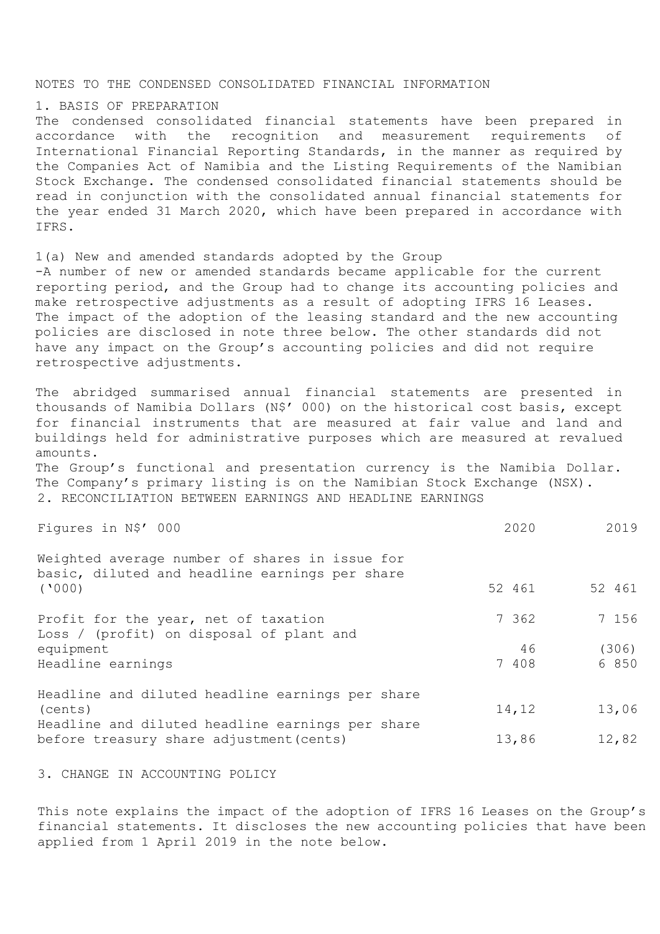### NOTES TO THE CONDENSED CONSOLIDATED FINANCIAL INFORMATION

#### 1. BASIS OF PREPARATION

The condensed consolidated financial statements have been prepared in accordance with the recognition and measurement requirements of International Financial Reporting Standards, in the manner as required by the Companies Act of Namibia and the Listing Requirements of the Namibian Stock Exchange. The condensed consolidated financial statements should be read in conjunction with the consolidated annual financial statements for the year ended 31 March 2020, which have been prepared in accordance with IFRS.

1(a) New and amended standards adopted by the Group -A number of new or amended standards became applicable for the current reporting period, and the Group had to change its accounting policies and make retrospective adjustments as a result of adopting IFRS 16 Leases. The impact of the adoption of the leasing standard and the new accounting policies are disclosed in note three below. The other standards did not have any impact on the Group's accounting policies and did not require retrospective adjustments.

The abridged summarised annual financial statements are presented in thousands of Namibia Dollars (N\$' 000) on the historical cost basis, except for financial instruments that are measured at fair value and land and buildings held for administrative purposes which are measured at revalued amounts.

The Group's functional and presentation currency is the Namibia Dollar. The Company's primary listing is on the Namibian Stock Exchange (NSX). 2. RECONCILIATION BETWEEN EARNINGS AND HEADLINE EARNINGS

Figures in N\$' 000 2020 2019

| Weighted average number of shares in issue for<br>basic, diluted and headline earnings per share |        |         |
|--------------------------------------------------------------------------------------------------|--------|---------|
| (1000)                                                                                           | 52 461 | 52 461  |
| Profit for the year, net of taxation<br>Loss / (profit) on disposal of plant and                 | 7 362  | 7 156   |
| equipment                                                                                        | 46     | (306)   |
| Headline earnings                                                                                | 7 408  | 6 8 5 0 |
| Headline and diluted headline earnings per share                                                 |        |         |
| (cents)                                                                                          | 14,12  | 13,06   |
| Headline and diluted headline earnings per share                                                 |        |         |
| before treasury share adjustment (cents)                                                         | 13,86  | 12,82   |

3. CHANGE IN ACCOUNTING POLICY

This note explains the impact of the adoption of IFRS 16 Leases on the Group's financial statements. It discloses the new accounting policies that have been applied from 1 April 2019 in the note below.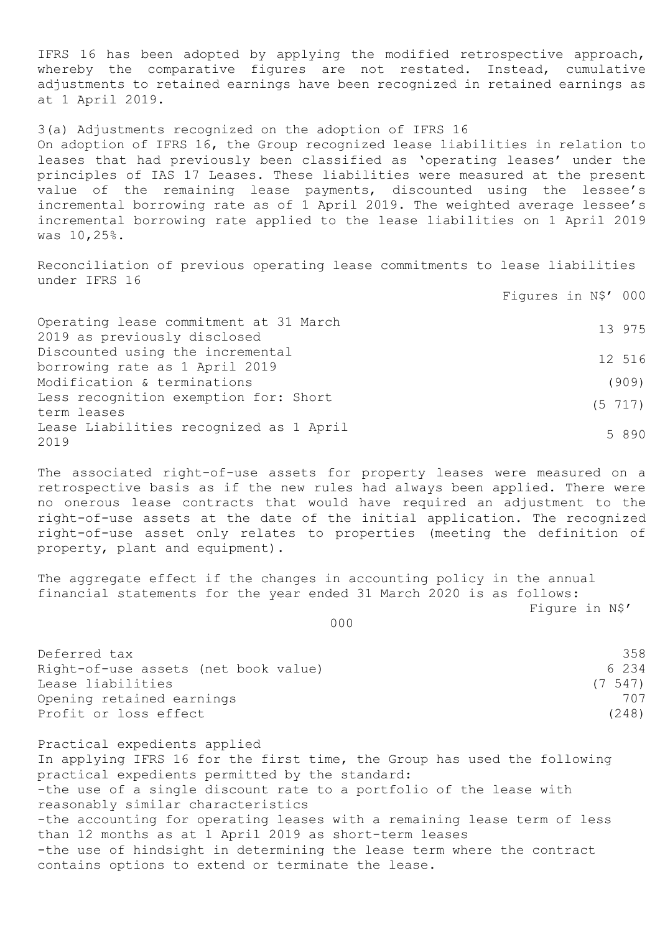IFRS 16 has been adopted by applying the modified retrospective approach, whereby the comparative figures are not restated. Instead, cumulative adjustments to retained earnings have been recognized in retained earnings as at 1 April 2019.

3(a) Adjustments recognized on the adoption of IFRS 16 On adoption of IFRS 16, the Group recognized lease liabilities in relation to leases that had previously been classified as 'operating leases' under the principles of IAS 17 Leases. These liabilities were measured at the present value of the remaining lease payments, discounted using the lessee's incremental borrowing rate as of 1 April 2019. The weighted average lessee's incremental borrowing rate applied to the lease liabilities on 1 April 2019 was 10,25%.

Reconciliation of previous operating lease commitments to lease liabilities under IFRS 16

Figures in N\$' 000

| Operating lease commitment at 31 March          | 13 975       |
|-------------------------------------------------|--------------|
| 2019 as previously disclosed                    |              |
| Discounted using the incremental                | 12 516       |
| borrowing rate as 1 April 2019                  |              |
| Modification & terminations                     | (909)        |
| Less recognition exemption for: Short           | $(5\ \ 717)$ |
| term leases                                     |              |
| Lease Liabilities recognized as 1 April<br>2019 | 5 8 9 0      |

The associated right-of-use assets for property leases were measured on a retrospective basis as if the new rules had always been applied. There were no onerous lease contracts that would have required an adjustment to the right-of-use assets at the date of the initial application. The recognized right-of-use asset only relates to properties (meeting the definition of property, plant and equipment).

The aggregate effect if the changes in accounting policy in the annual financial statements for the year ended 31 March 2020 is as follows:

Figure in N\$'

 $000$ 

| Deferred tax                         | 358    |
|--------------------------------------|--------|
| Right-of-use assets (net book value) | 6 234  |
| Lease liabilities                    | (7547) |
| Opening retained earnings            | 707    |
| Profit or loss effect                | (248)  |

Practical expedients applied In applying IFRS 16 for the first time, the Group has used the following practical expedients permitted by the standard: -the use of a single discount rate to a portfolio of the lease with reasonably similar characteristics -the accounting for operating leases with a remaining lease term of less than 12 months as at 1 April 2019 as short-term leases -the use of hindsight in determining the lease term where the contract contains options to extend or terminate the lease.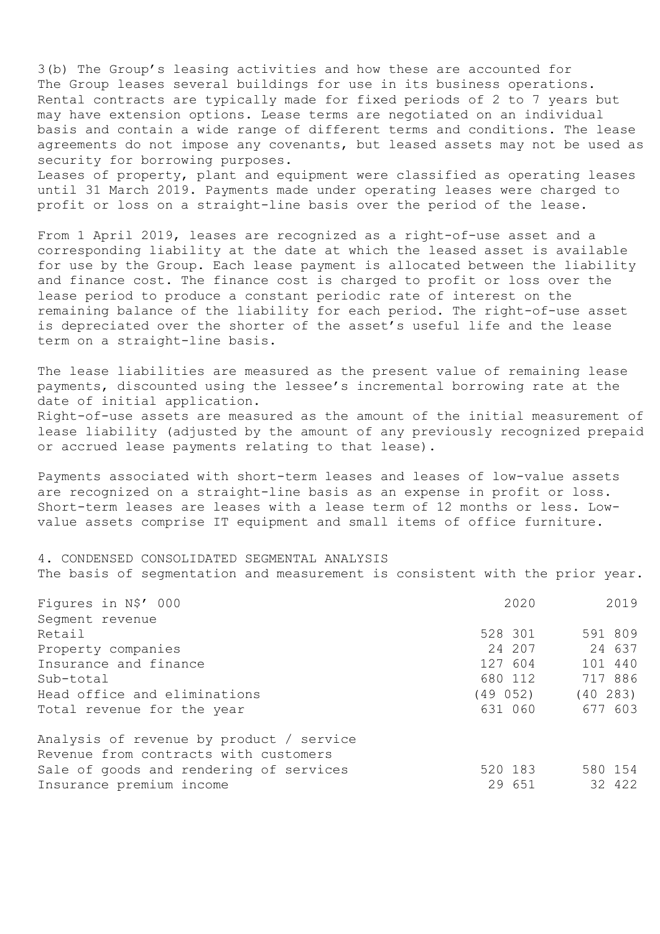3(b) The Group's leasing activities and how these are accounted for The Group leases several buildings for use in its business operations. Rental contracts are typically made for fixed periods of 2 to 7 years but may have extension options. Lease terms are negotiated on an individual basis and contain a wide range of different terms and conditions. The lease agreements do not impose any covenants, but leased assets may not be used as security for borrowing purposes.

Leases of property, plant and equipment were classified as operating leases until 31 March 2019. Payments made under operating leases were charged to profit or loss on a straight-line basis over the period of the lease.

From 1 April 2019, leases are recognized as a right-of-use asset and a corresponding liability at the date at which the leased asset is available for use by the Group. Each lease payment is allocated between the liability and finance cost. The finance cost is charged to profit or loss over the lease period to produce a constant periodic rate of interest on the remaining balance of the liability for each period. The right-of-use asset is depreciated over the shorter of the asset's useful life and the lease term on a straight-line basis.

The lease liabilities are measured as the present value of remaining lease payments, discounted using the lessee's incremental borrowing rate at the date of initial application.

Right-of-use assets are measured as the amount of the initial measurement of lease liability (adjusted by the amount of any previously recognized prepaid or accrued lease payments relating to that lease).

Payments associated with short-term leases and leases of low-value assets are recognized on a straight-line basis as an expense in profit or loss. Short-term leases are leases with a lease term of 12 months or less. Lowvalue assets comprise IT equipment and small items of office furniture.

4. CONDENSED CONSOLIDATED SEGMENTAL ANALYSIS The basis of segmentation and measurement is consistent with the prior year.

| Figures in N\$' 000                      | 2020    | 2019      |
|------------------------------------------|---------|-----------|
| Seqment revenue                          |         |           |
| Retail                                   | 528 301 | 591 809   |
| Property companies                       | 24 207  | 24 637    |
| Insurance and finance                    | 127 604 | 101 440   |
| Sub-total                                | 680 112 | 717 886   |
| Head office and eliminations             | (49052) | (40, 283) |
| Total revenue for the year               | 631 060 | 677 603   |
| Analysis of revenue by product / service |         |           |
| Revenue from contracts with customers    |         |           |
| Sale of goods and rendering of services  | 520 183 | 580 154   |
| Insurance premium income                 | 29 651  | 32 422    |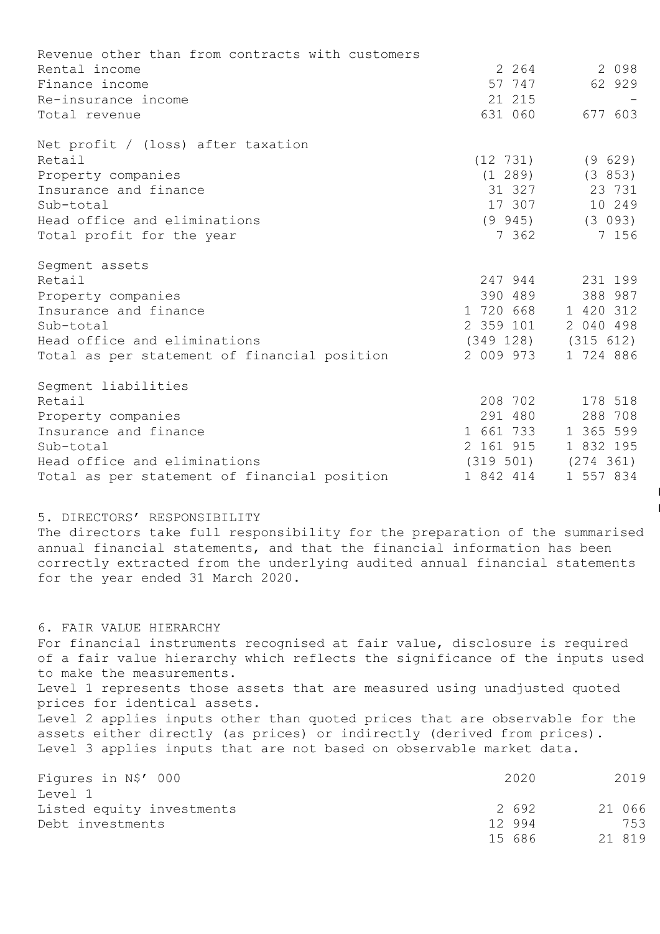| Revenue other than from contracts with customers |           |                         |
|--------------------------------------------------|-----------|-------------------------|
| Rental income                                    | 2 2 6 4   | 2 0 9 8                 |
| Finance income                                   | 57 747    | 62 929                  |
| Re-insurance income                              | 21 215    |                         |
| Total revenue                                    | 631 060   | 677 603                 |
| Net profit / (loss) after taxation               |           |                         |
| Retail                                           | (12 731)  | (9629)                  |
| Property companies                               | (1 289)   | (3853)                  |
| Insurance and finance                            |           | 31 327 23 731           |
| Sub-total                                        | 17 307    | 10 249                  |
| Head office and eliminations                     |           | $(9\ 945)$ $(3\ 093)$   |
| Total profit for the year                        | 7 362     | 7 156                   |
| Segment assets                                   |           |                         |
| Retail                                           |           | 247 944 231 199         |
| Property companies                               | 390 489   | 388 987                 |
| Insurance and finance                            |           | 1 720 668 1 420 312     |
| Sub-total                                        | 2 359 101 | 2 040 498               |
| Head office and eliminations                     |           | $(349 128)$ $(315 612)$ |
| Total as per statement of financial position     | 2 009 973 | 1 724 886               |
| Segment liabilities                              |           |                         |
| Retail                                           | 208 702   | 178 518                 |
| Property companies                               | 291 480   | 288 708                 |
| Insurance and finance                            | 1 661 733 | 1 365 599               |
| Sub-total                                        | 2 161 915 | 1 832 195               |
| Head office and eliminations                     |           | $(319 501)$ $(274 361)$ |
| Total as per statement of financial position     | 1 842 414 | 1 557 834               |

5. DIRECTORS' RESPONSIBILITY

The directors take full responsibility for the preparation of the summarised annual financial statements, and that the financial information has been correctly extracted from the underlying audited annual financial statements for the year ended 31 March 2020.

 $\overline{\phantom{a}}$  $\overline{\phantom{a}}$ 

6. FAIR VALUE HIERARCHY For financial instruments recognised at fair value, disclosure is required of a fair value hierarchy which reflects the significance of the inputs used to make the measurements. Level 1 represents those assets that are measured using unadjusted quoted prices for identical assets. Level 2 applies inputs other than quoted prices that are observable for the assets either directly (as prices) or indirectly (derived from prices). Level 3 applies inputs that are not based on observable market data.

| Figures in N\$' 000       |        | 2020 | 2019   |
|---------------------------|--------|------|--------|
| Level 1                   |        |      |        |
| Listed equity investments |        | 2692 | 21 066 |
| Debt investments          | 12 994 |      | 753    |
|                           | 15 686 |      | 21 819 |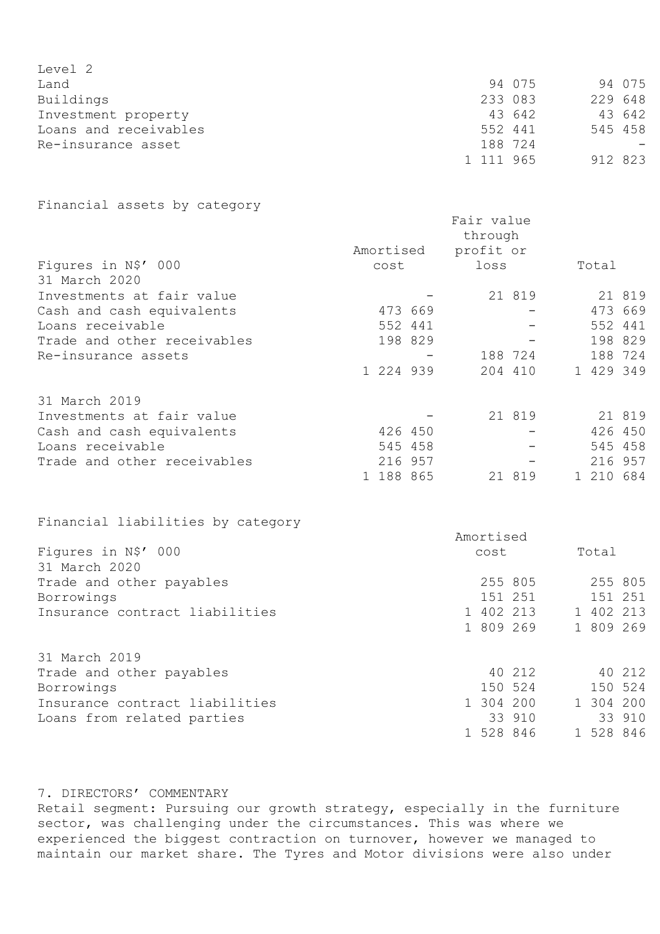| Level 2               |           |         |         |  |
|-----------------------|-----------|---------|---------|--|
| Land                  |           | 94 075  | 94 075  |  |
| Buildings             |           | 233 083 | 229 648 |  |
| Investment property   |           | 43 642  | 43 642  |  |
| Loans and receivables | 552 441   |         | 545 458 |  |
| Re-insurance asset    |           | 188 724 |         |  |
|                       | 1 111 965 |         | 912 823 |  |

# Financial assets by category

|                             | Amortised | Fair value<br>through<br>profit or |         |           |         |
|-----------------------------|-----------|------------------------------------|---------|-----------|---------|
| Figures in N\$' 000         | cost      | loss                               |         | Total     |         |
| 31 March 2020               |           |                                    |         |           |         |
| Investments at fair value   |           |                                    | 21 819  |           | 21 819  |
| Cash and cash equivalents   | 473 669   |                                    |         |           | 473 669 |
| Loans receivable            | 552 441   |                                    |         | 552 441   |         |
| Trade and other receivables | 198 829   |                                    |         | 198 829   |         |
| Re-insurance assets         |           | 188 724                            |         | 188 724   |         |
|                             | 1 224 939 |                                    | 204 410 | 1 429 349 |         |
| 31 March 2019               |           |                                    |         |           |         |
| Investments at fair value   |           |                                    | 21 819  |           | 21 819  |
| Cash and cash equivalents   | 426 450   |                                    |         |           | 426 450 |
| Loans receivable            | 545 458   |                                    |         |           | 545 458 |
| Trade and other receivables | 216 957   |                                    |         |           | 216 957 |
|                             | 188 865   |                                    | 21 819  | 1 210 684 |         |

Financial liabilities by category

|                                | Amortised |           |
|--------------------------------|-----------|-----------|
| Figures in N\$' 000            | cost      | Total     |
| 31 March 2020                  |           |           |
| Trade and other payables       | 255 805   | 255 805   |
| Borrowings                     | 151 251   | 151 251   |
| Insurance contract liabilities | 1 402 213 | 1 402 213 |
|                                | 1 809 269 | 1 809 269 |
| 31 March 2019                  |           |           |
| Trade and other payables       | 40 212    | 40 212    |
| Borrowings                     | 150 524   | 150 524   |
| Insurance contract liabilities | 1 304 200 | 1 304 200 |
| Loans from related parties     | 33 910    | 33 910    |
|                                | 1 528 846 | 1 528 846 |

## 7. DIRECTORS' COMMENTARY

Retail segment: Pursuing our growth strategy, especially in the furniture sector, was challenging under the circumstances. This was where we experienced the biggest contraction on turnover, however we managed to maintain our market share. The Tyres and Motor divisions were also under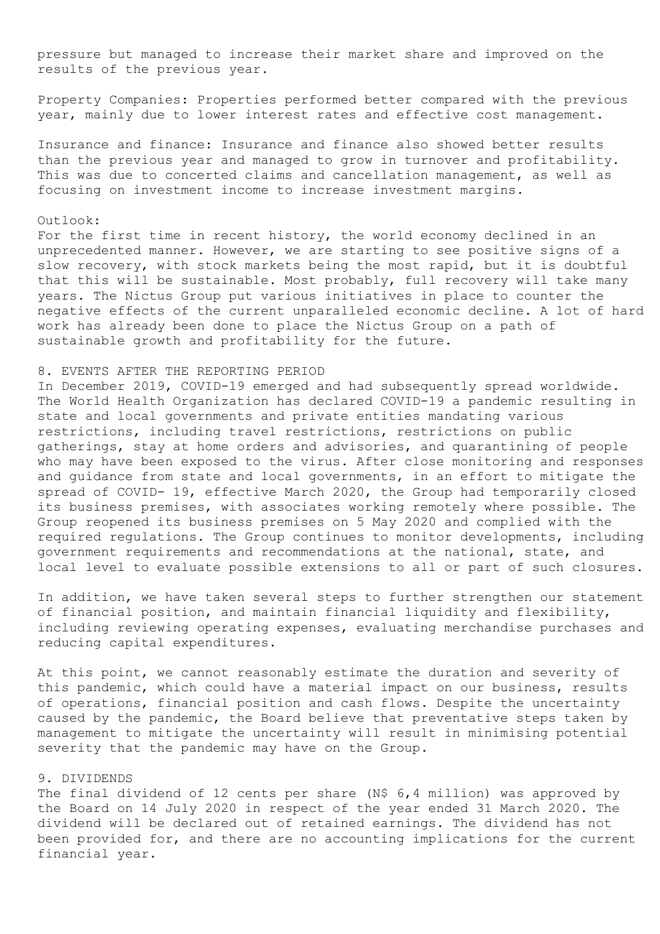pressure but managed to increase their market share and improved on the results of the previous year.

Property Companies: Properties performed better compared with the previous year, mainly due to lower interest rates and effective cost management.

Insurance and finance: Insurance and finance also showed better results than the previous year and managed to grow in turnover and profitability. This was due to concerted claims and cancellation management, as well as focusing on investment income to increase investment margins.

#### Outlook:

For the first time in recent history, the world economy declined in an unprecedented manner. However, we are starting to see positive signs of a slow recovery, with stock markets being the most rapid, but it is doubtful that this will be sustainable. Most probably, full recovery will take many years. The Nictus Group put various initiatives in place to counter the negative effects of the current unparalleled economic decline. A lot of hard work has already been done to place the Nictus Group on a path of sustainable growth and profitability for the future.

### 8. EVENTS AFTER THE REPORTING PERIOD

In December 2019, COVID-19 emerged and had subsequently spread worldwide. The World Health Organization has declared COVID-19 a pandemic resulting in state and local governments and private entities mandating various restrictions, including travel restrictions, restrictions on public gatherings, stay at home orders and advisories, and quarantining of people who may have been exposed to the virus. After close monitoring and responses and guidance from state and local governments, in an effort to mitigate the spread of COVID- 19, effective March 2020, the Group had temporarily closed its business premises, with associates working remotely where possible. The Group reopened its business premises on 5 May 2020 and complied with the required regulations. The Group continues to monitor developments, including government requirements and recommendations at the national, state, and local level to evaluate possible extensions to all or part of such closures.

In addition, we have taken several steps to further strengthen our statement of financial position, and maintain financial liquidity and flexibility, including reviewing operating expenses, evaluating merchandise purchases and reducing capital expenditures.

At this point, we cannot reasonably estimate the duration and severity of this pandemic, which could have a material impact on our business, results of operations, financial position and cash flows. Despite the uncertainty caused by the pandemic, the Board believe that preventative steps taken by management to mitigate the uncertainty will result in minimising potential severity that the pandemic may have on the Group.

## 9. DIVIDENDS

The final dividend of 12 cents per share (N\$ 6,4 million) was approved by the Board on 14 July 2020 in respect of the year ended 31 March 2020. The dividend will be declared out of retained earnings. The dividend has not been provided for, and there are no accounting implications for the current financial year.